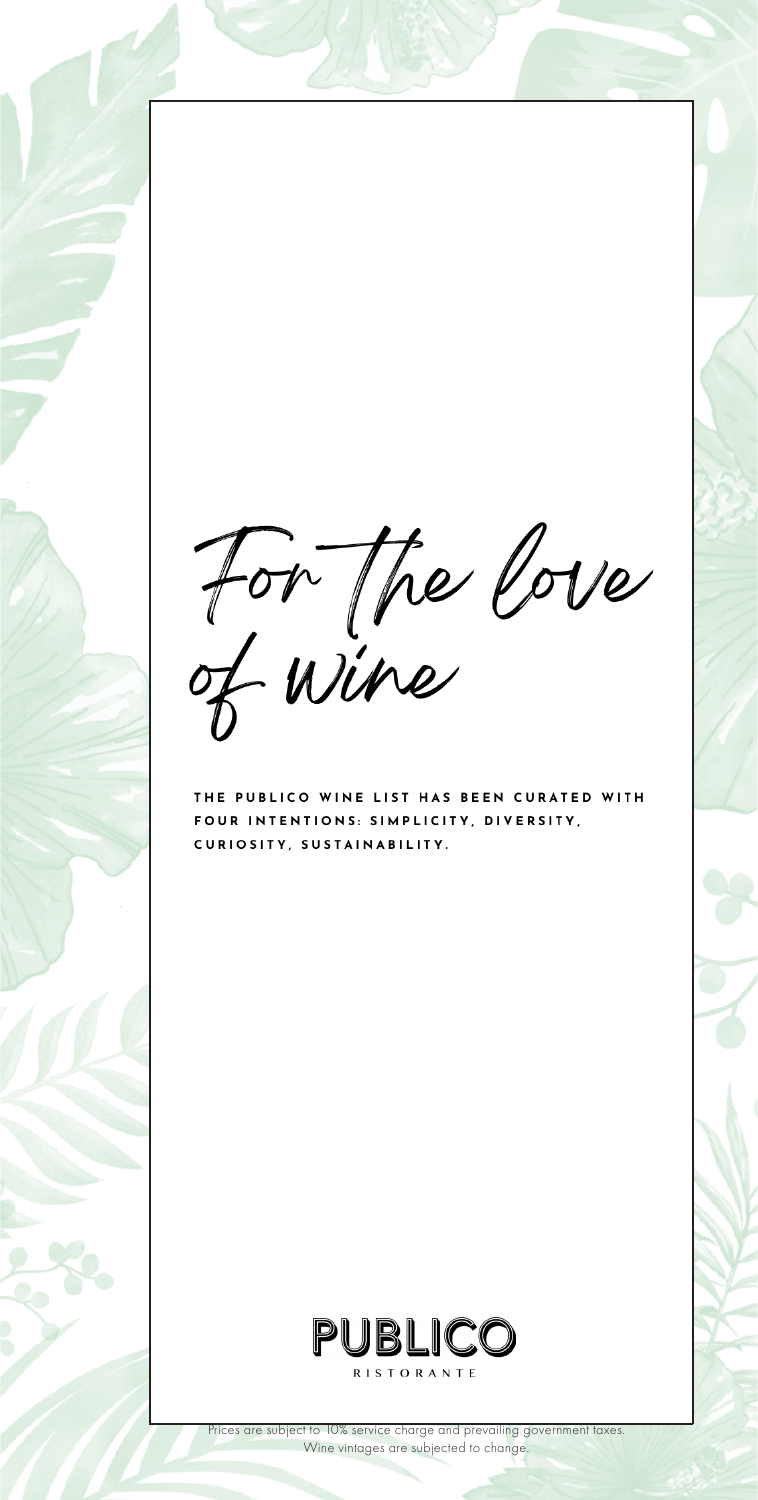For The Cove

THE PUBLICO WINE LIST HAS BEEN CURATED WITH FOUR INTENTIONS: SIMPLICITY, DIVERSITY, CURIOSITY, SUSTAINABILITY.

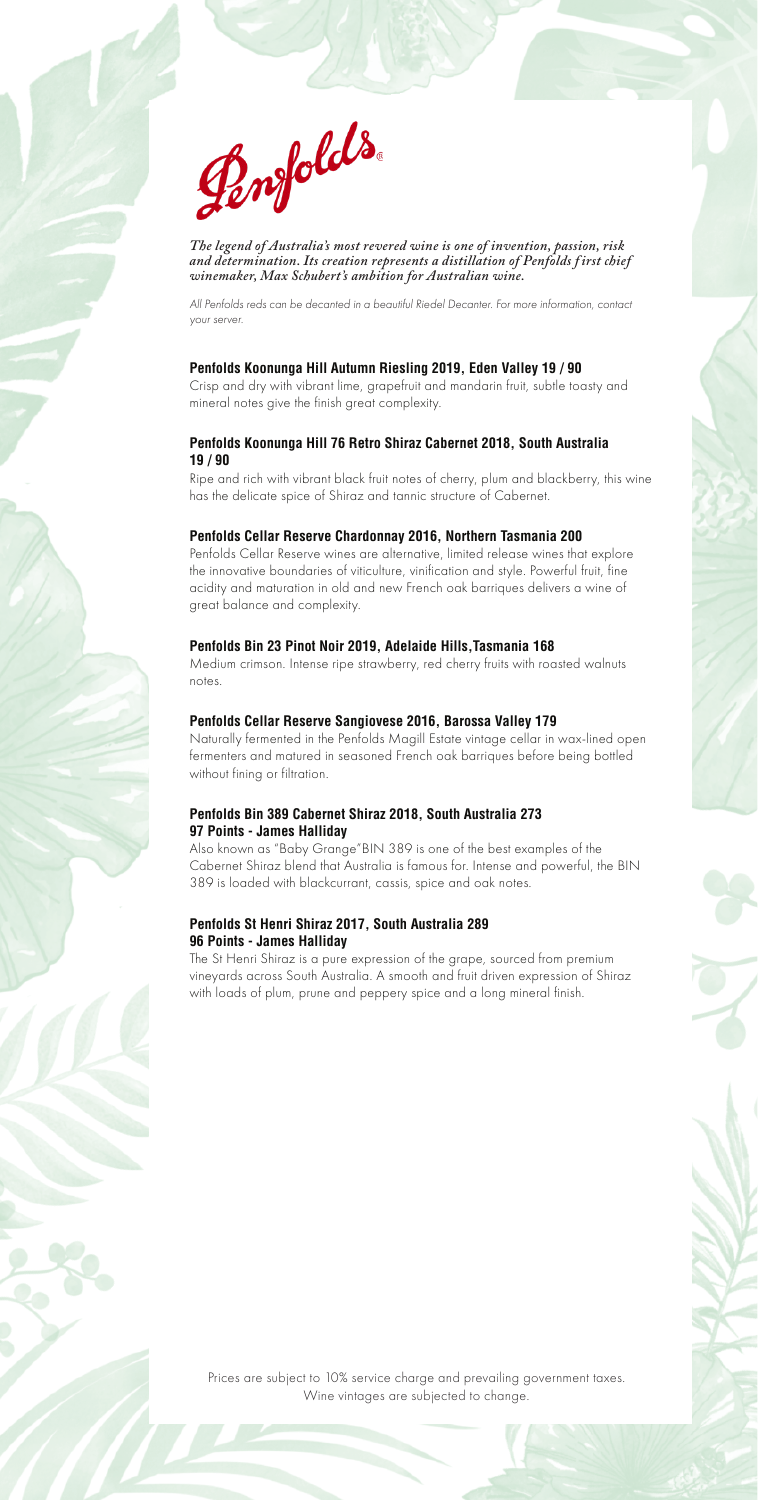

*The legend of Australia's most revered wine is one of invention, passion, risk and determination. Its creation represents a distillation of Penfolds f irst chief winemaker, Max Schubert's ambition for Australian wine.*

*All Penfolds reds can be decanted in a beautiful Riedel Decanter. For more information, contact your server.*

#### **Penfolds Koonunga Hill Autumn Riesling 2019, Eden Valley 19 / 90**

Crisp and dry with vibrant lime, grapefruit and mandarin fruit, subtle toasty and mineral notes give the finish great complexity.

#### **Penfolds Koonunga Hill 76 Retro Shiraz Cabernet 2018, South Australia 19 / 90**

Ripe and rich with vibrant black fruit notes of cherry, plum and blackberry, this wine has the delicate spice of Shiraz and tannic structure of Cabernet.

#### **Penfolds Cellar Reserve Chardonnay 2016, Northern Tasmania 200**

Penfolds Cellar Reserve wines are alternative, limited release wines that explore the innovative boundaries of viticulture, vinification and style. Powerful fruit, fine acidity and maturation in old and new French oak barriques delivers a wine of great balance and complexity.

#### **Penfolds Bin 23 Pinot Noir 2019, Adelaide Hills,Tasmania 168**

Medium crimson. Intense ripe strawberry, red cherry fruits with roasted walnuts notes.

#### **Penfolds Cellar Reserve Sangiovese 2016, Barossa Valley 179**

Naturally fermented in the Penfolds Magill Estate vintage cellar in wax-lined open fermenters and matured in seasoned French oak barriques before being bottled without fining or filtration.

#### **Penfolds Bin 389 Cabernet Shiraz 2018, South Australia 273 97 Points - James Halliday**

Also known as "Baby Grange"BIN 389 is one of the best examples of the Cabernet Shiraz blend that Australia is famous for. Intense and powerful, the BIN 389 is loaded with blackcurrant, cassis, spice and oak notes.

#### **Penfolds St Henri Shiraz 2017, South Australia 289 96 Points - James Halliday**

The St Henri Shiraz is a pure expression of the grape, sourced from premium vineyards across South Australia. A smooth and fruit driven expression of Shiraz with loads of plum, prune and peppery spice and a long mineral finish.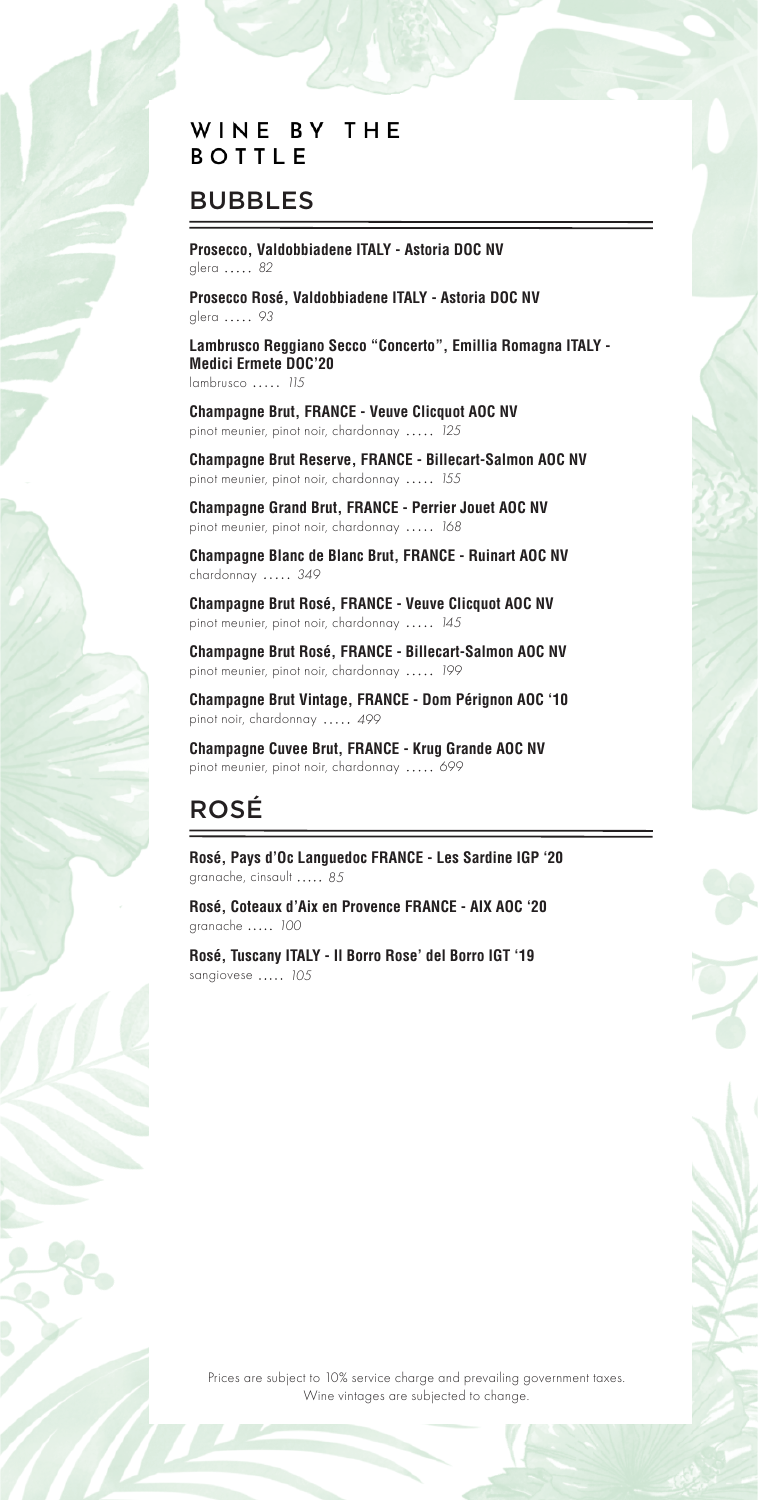### WINE BY THE **BOTTLE**

## BUBBLES

**Prosecco, Valdobbiadene ITALY - Astoria DOC NV** glera *82*

**Prosecco Rosé, Valdobbiadene ITALY - Astoria DOC NV** glera ..... 93

**Lambrusco Reggiano Secco "Concerto", Emillia Romagna ITALY - Medici Ermete DOC'20** lambrusco *115*

**Champagne Brut, FRANCE - Veuve Clicquot AOC NV** pinot meunier, pinot noir, chardonnay *125*

**Champagne Brut Reserve, FRANCE - Billecart-Salmon AOC NV** pinot meunier, pinot noir, chardonnay *155*

**Champagne Grand Brut, FRANCE - Perrier Jouet AOC NV** pinot meunier, pinot noir, chardonnay *168*

**Champagne Blanc de Blanc Brut, FRANCE - Ruinart AOC NV** chardonnay *349*

**Champagne Brut Rosé, FRANCE - Veuve Clicquot AOC NV** pinot meunier, pinot noir, chardonnay *145*

**Champagne Brut Rosé, FRANCE - Billecart-Salmon AOC NV**  pinot meunier, pinot noir, chardonnay *199*

**Champagne Brut Vintage, FRANCE - Dom Pérignon AOC '10** pinot noir, chardonnay *499*

**Champagne Cuvee Brut, FRANCE - Krug Grande AOC NV** pinot meunier, pinot noir, chardonnay *699*

# ROSÉ

**Rosé, Pays d'Oc Languedoc FRANCE - Les Sardine IGP '20** granache, cinsault *85*

**Rosé, Coteaux d'Aix en Provence FRANCE - AIX AOC '20** granache *100*

**Rosé, Tuscany ITALY - Il Borro Rose' del Borro IGT '19**  sangiovese *105*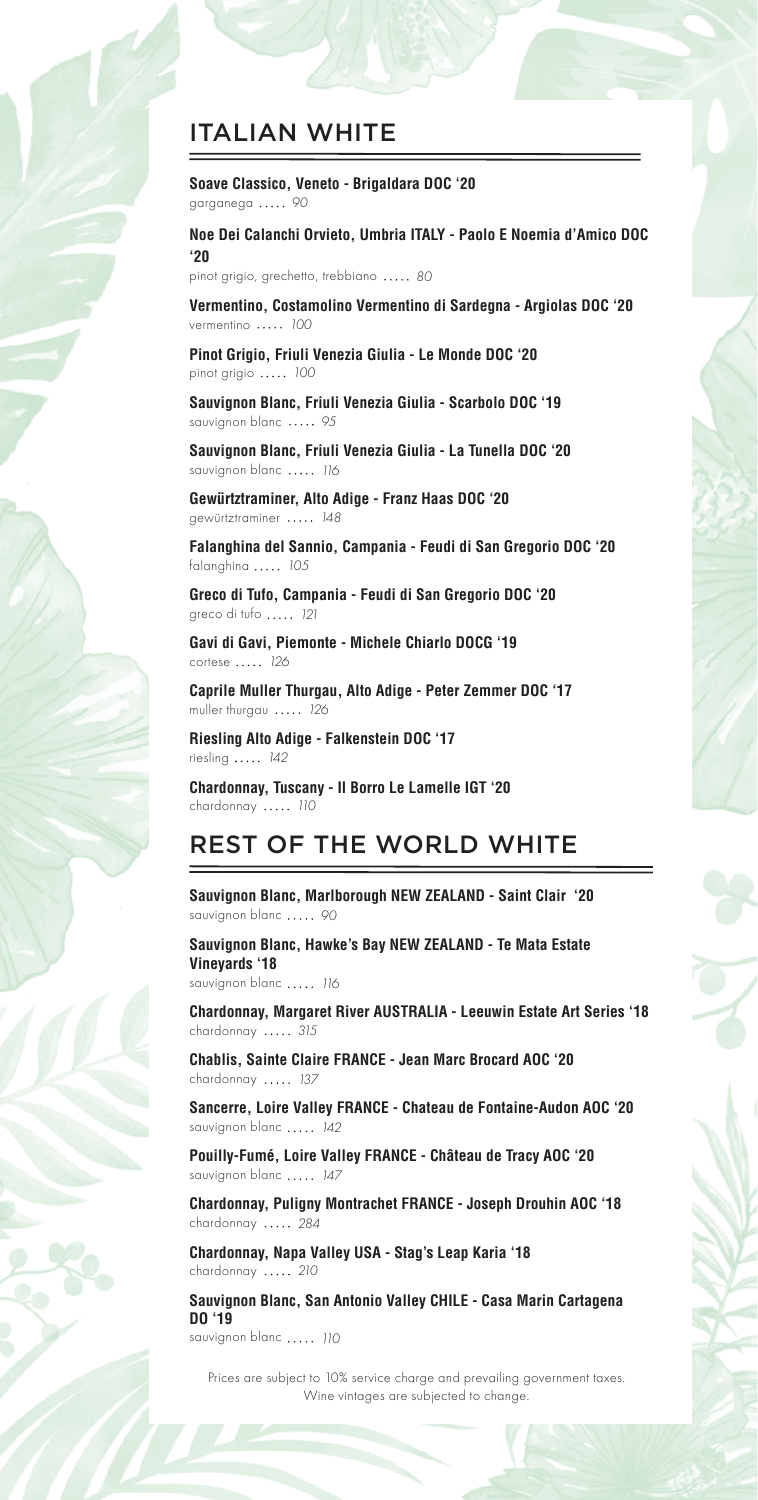## ITALIAN WHITE

**Soave Classico, Veneto - Brigaldara DOC '20** garganega *90*

**Noe Dei Calanchi Orvieto, Umbria ITALY - Paolo E Noemia d'Amico DOC '20**

pinot grigio, grechetto, trebbiano *80*

**Vermentino, Costamolino Vermentino di Sardegna - Argiolas DOC '20** vermentino *100*

**Pinot Grigio, Friuli Venezia Giulia - Le Monde DOC '20** pinot grigio *100*

**Sauvignon Blanc, Friuli Venezia Giulia - Scarbolo DOC '19** sauvignon blanc ..... 95

**Sauvignon Blanc, Friuli Venezia Giulia - La Tunella DOC '20** sauvignon blanc *116*

**Gewürtztraminer, Alto Adige - Franz Haas DOC '20** gewürtztraminer *148*

**Falanghina del Sannio, Campania - Feudi di San Gregorio DOC '20** falanghina *105*

**Greco di Tufo, Campania - Feudi di San Gregorio DOC '20** greco di tufo *121*

**Gavi di Gavi, Piemonte - Michele Chiarlo DOCG '19** cortese *126*

**Caprile Muller Thurgau, Alto Adige - Peter Zemmer DOC '17** muller thurgau *126*

**Riesling Alto Adige - Falkenstein DOC '17** riesling *142*

**Chardonnay, Tuscany - Il Borro Le Lamelle IGT '20** chardonnay *110*

### REST OF THE WORLD WHITE

**Sauvignon Blanc, Marlborough NEW ZEALAND - Saint Clair '20** sauvignon blanc ..... 90

**Sauvignon Blanc, Hawke's Bay NEW ZEALAND - Te Mata Estate Vineyards '18** sauvignon blanc *116*

**Chardonnay, Margaret River AUSTRALIA - Leeuwin Estate Art Series '18** chardonnay *315*

**Chablis, Sainte Claire FRANCE - Jean Marc Brocard AOC '20**  chardonnay *137*

**Sancerre, Loire Valley FRANCE - Chateau de Fontaine-Audon AOC '20**  sauvignon blanc *142*

**Pouilly-Fumé, Loire Valley FRANCE - Château de Tracy AOC '20** sauvignon blanc *147*

**Chardonnay, Puligny Montrachet FRANCE - Joseph Drouhin AOC '18** chardonnay *284*

**Chardonnay, Napa Valley USA - Stag's Leap Karia '18** chardonnay *210*

**Sauvignon Blanc, San Antonio Valley CHILE - Casa Marin Cartagena DO '19**

sauvignon blanc *110*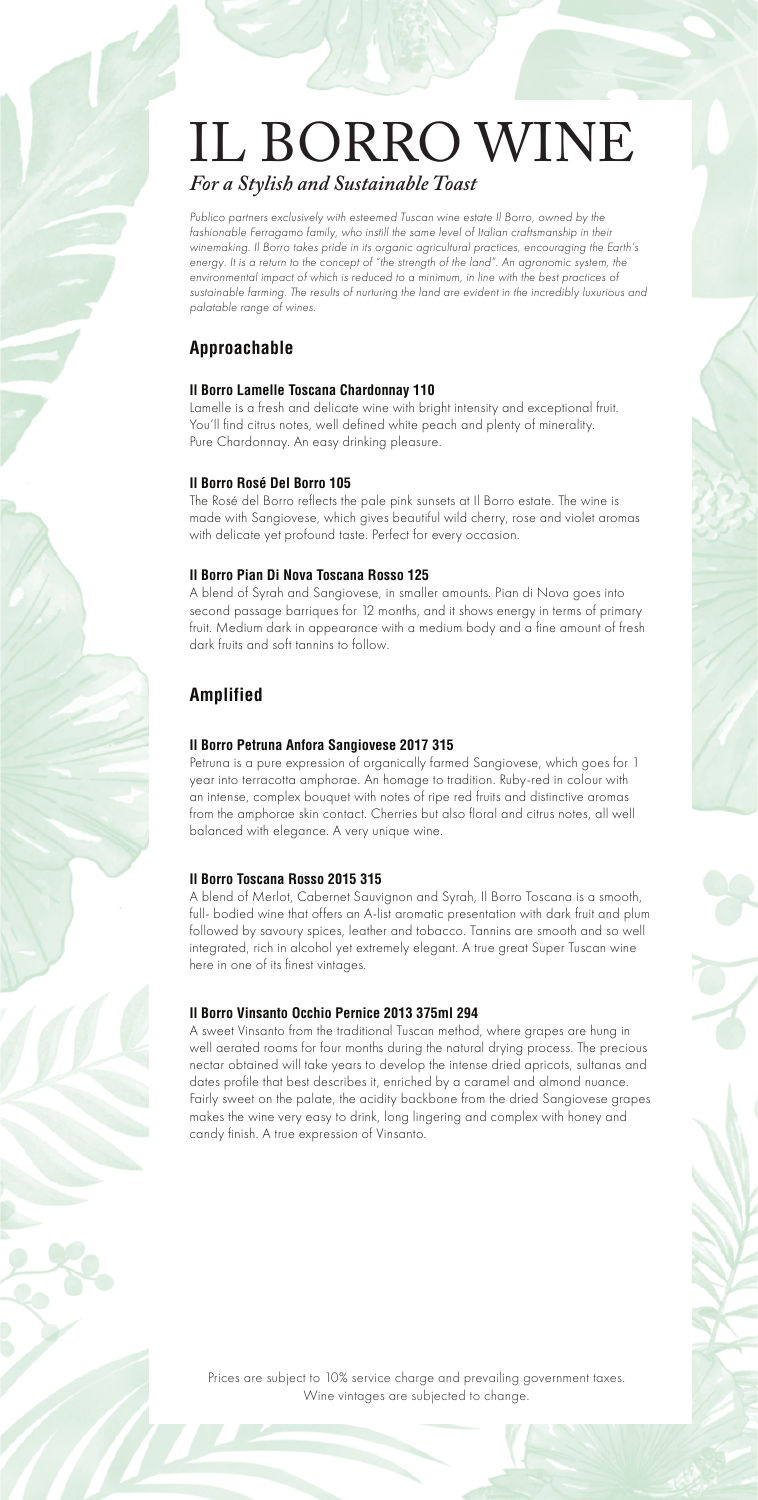# IL BORRO WINE *For a Stylish and Sustainable Toast*

Publico partners exclusively with esteemed Tuscan wine estate Il Borro, owned by the *fashionable Ferragamo family, who instill the same level of Italian craftsmanship in their winemaking. Il Borro takes pride in its organic agricultural practices, encouraging the Earth's energy. It is a return to the concept of "the strength of the land". An agronomic system, the* environmental impact of which is reduced to a minimum, in line with the best practices of *sustainable farming. The results of nurturing the land are evident in the incredibly luxurious and palatable range of wines.*

### **Approachable**

#### **Il Borro Lamelle Toscana Chardonnay 110**

Lamelle is a fresh and delicate wine with bright intensity and exceptional fruit. You'll find citrus notes, well defined white peach and plenty of minerality. Pure Chardonnay. An easy drinking pleasure.

#### **Il Borro Rosé Del Borro 105**

The Rosé del Borro reflects the pale pink sunsets at Il Borro estate. The wine is made with Sangiovese, which gives beautiful wild cherry, rose and violet aromas with delicate yet profound taste. Perfect for every occasion.

#### **Il Borro Pian Di Nova Toscana Rosso 125**

A blend of Syrah and Sangiovese, in smaller amounts. Pian di Nova goes into second passage barriques for 12 months, and it shows energy in terms of primary fruit. Medium dark in appearance with a medium body and a fine amount of fresh dark fruits and soft tannins to follow.

### **Amplified**

#### **Il Borro Petruna Anfora Sangiovese 2017 315**

Petruna is a pure expression of organically farmed Sangiovese, which goes for 1 year into terracotta amphorae. An homage to tradition. Ruby-red in colour with an intense, complex bouquet with notes of ripe red fruits and distinctive aromas from the amphorae skin contact. Cherries but also floral and citrus notes, all well balanced with elegance. A very unique wine.

#### **Il Borro Toscana Rosso 2015 315**

A blend of Merlot, Cabernet Sauvignon and Syrah, Il Borro Toscana is a smooth, full- bodied wine that offers an A-list aromatic presentation with dark fruit and plum followed by savoury spices, leather and tobacco. Tannins are smooth and so well integrated, rich in alcohol yet extremely elegant. A true great Super Tuscan wine here in one of its finest vintages.

#### **Il Borro Vinsanto Occhio Pernice 2013 375ml 294**

A sweet Vinsanto from the traditional Tuscan method, where grapes are hung in well aerated rooms for four months during the natural drying process. The precious nectar obtained will take years to develop the intense dried apricots, sultanas and dates profile that best describes it, enriched by a caramel and almond nuance. Fairly sweet on the palate, the acidity backbone from the dried Sangiovese grapes makes the wine very easy to drink, long lingering and complex with honey and candy finish. A true expression of Vinsanto.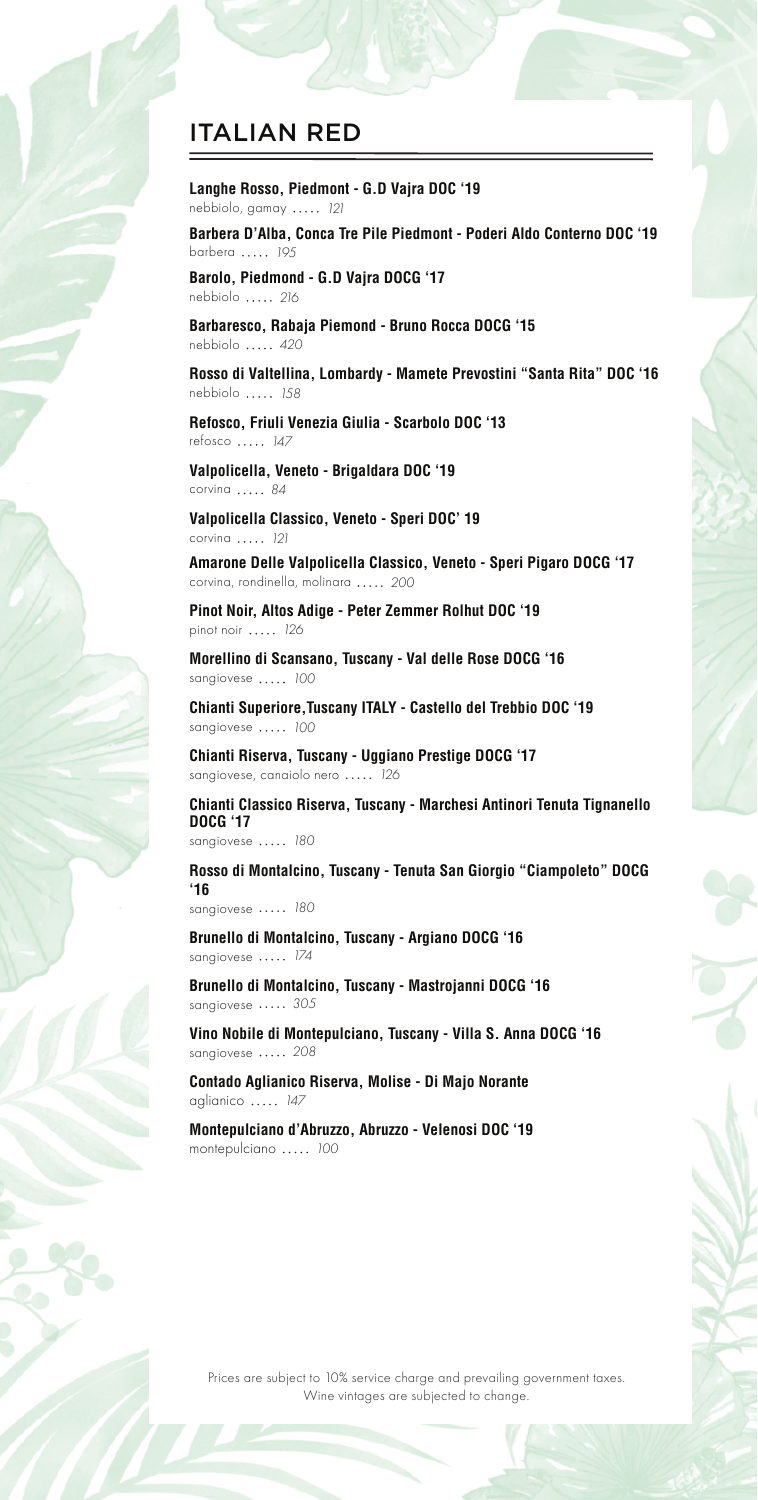# ITALIAN RED

**Langhe Rosso, Piedmont - G.D Vajra DOC '19** nebbiolo, gamay *121*

**Barbera D'Alba, Conca Tre Pile Piedmont - Poderi Aldo Conterno DOC '19** barbera *195*

**Barolo, Piedmond - G.D Vajra DOCG '17** nebbiolo *216*

**Barbaresco, Rabaja Piemond - Bruno Rocca DOCG '15** nebbiolo *420*

**Rosso di Valtellina, Lombardy - Mamete Prevostini "Santa Rita" DOC '16** nebbiolo *158*

**Refosco, Friuli Venezia Giulia - Scarbolo DOC '13** refosco *147*

**Valpolicella, Veneto - Brigaldara DOC '19** corvina *84*

**Valpolicella Classico, Veneto - Speri DOC' 19** corvina *121*

**Amarone Delle Valpolicella Classico, Veneto - Speri Pigaro DOCG '17** corvina, rondinella, molinara *200*

**Pinot Noir, Altos Adige - Peter Zemmer Rolhut DOC '19** pinot noir *126*

**Morellino di Scansano, Tuscany - Val delle Rose DOCG '16** sangiovese *100*

**Chianti Superiore,Tuscany ITALY - Castello del Trebbio DOC '19** sangiovese *100*

**Chianti Riserva, Tuscany - Uggiano Prestige DOCG '17** sangiovese, canaiolo nero *126*

**Chianti Classico Riserva, Tuscany - Marchesi Antinori Tenuta Tignanello DOCG '17** sangiovese *180*

**Rosso di Montalcino, Tuscany - Tenuta San Giorgio "Ciampoleto" DOCG '16**

sangiovese ..... 180

**Brunello di Montalcino, Tuscany - Argiano DOCG '16** sangiovese ..... 174

**Brunello di Montalcino, Tuscany - Mastrojanni DOCG '16** sangiovese *305*

**Vino Nobile di Montepulciano, Tuscany - Villa S. Anna DOCG '16** sangiovese ..... 208

**Contado Aglianico Riserva, Molise - Di Majo Norante** aglianico *147*

**Montepulciano d'Abruzzo, Abruzzo - Velenosi DOC '19** montepulciano *100*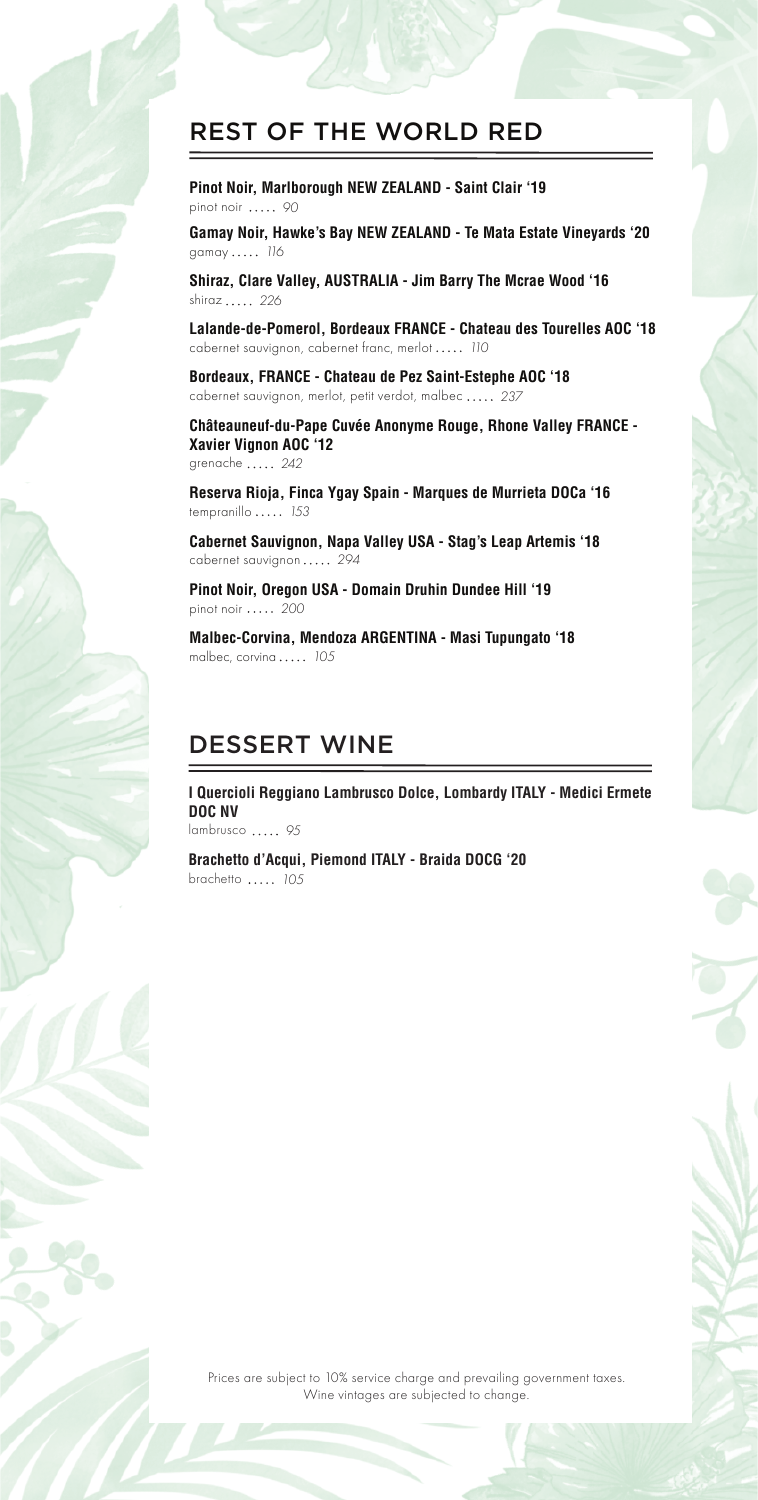

**Pinot Noir, Marlborough NEW ZEALAND - Saint Clair '19** pinot noir *90*

**Gamay Noir, Hawke's Bay NEW ZEALAND - Te Mata Estate Vineyards '20** gamay *116*

**Shiraz, Clare Valley, AUSTRALIA - Jim Barry The Mcrae Wood '16** shiraz *226*

**Lalande-de-Pomerol, Bordeaux FRANCE - Chateau des Tourelles AOC '18** cabernet sauvignon, cabernet franc, merlot *110*

**Bordeaux, FRANCE - Chateau de Pez Saint-Estephe AOC '18** cabernet sauvignon, merlot, petit verdot, malbec *237*

**Châteauneuf-du-Pape Cuvée Anonyme Rouge, Rhone Valley FRANCE - Xavier Vignon AOC '12** grenache *242*

**Reserva Rioja, Finca Ygay Spain - Marques de Murrieta DOCa '16** tempranillo *153*

**Cabernet Sauvignon, Napa Valley USA - Stag's Leap Artemis '18** cabernet sauvignon *294*

**Pinot Noir, Oregon USA - Domain Druhin Dundee Hill '19** pinot noir *200*

**Malbec-Corvina, Mendoza ARGENTINA - Masi Tupungato '18** malbec, corvina *105*

### DESSERT WINE

**I Quercioli Reggiano Lambrusco Dolce, Lombardy ITALY - Medici Ermete DOC NV** lambrusco *95*

**Brachetto d'Acqui, Piemond ITALY - Braida DOCG '20** brachetto *105*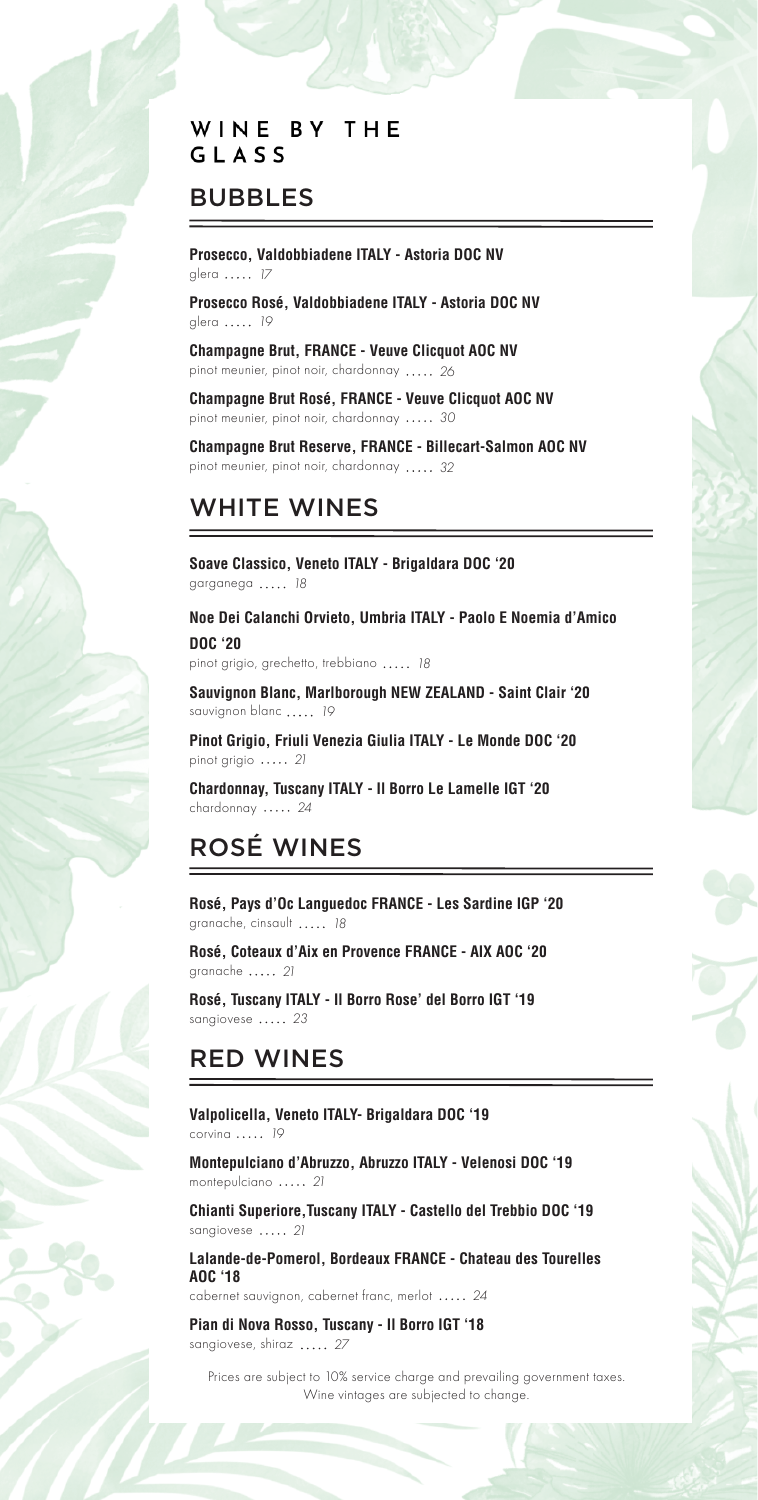### WINE BY THE GLASS

# BUBBLES

**Prosecco, Valdobbiadene ITALY - Astoria DOC NV** glera *17*

**Prosecco Rosé, Valdobbiadene ITALY - Astoria DOC NV**  glera *19*

**Champagne Brut, FRANCE - Veuve Clicquot AOC NV** pinot meunier, pinot noir, chardonnay *26*

**Champagne Brut Rosé, FRANCE - Veuve Clicquot AOC NV**  pinot meunier, pinot noir, chardonnay *30*

**Champagne Brut Reserve, FRANCE - Billecart-Salmon AOC NV** pinot meunier, pinot noir, chardonnay *32*

# WHITE WINES

**Soave Classico, Veneto ITALY - Brigaldara DOC '20** garganega *18*

**Noe Dei Calanchi Orvieto, Umbria ITALY - Paolo E Noemia d'Amico DOC '20** 

pinot grigio, grechetto, trebbiano *18*

**Sauvignon Blanc, Marlborough NEW ZEALAND - Saint Clair '20**  sauvignon blanc *19*

**Pinot Grigio, Friuli Venezia Giulia ITALY - Le Monde DOC '20** pinot grigio *21*

**Chardonnay, Tuscany ITALY - Il Borro Le Lamelle IGT '20**  chardonnay *24*

# ROSÉ WINES

**Rosé, Pays d'Oc Languedoc FRANCE - Les Sardine IGP '20** granache, cinsault *18*

**Rosé, Coteaux d'Aix en Provence FRANCE - AIX AOC '20**  granache *21*

**Rosé, Tuscany ITALY - Il Borro Rose' del Borro IGT '19**  sangiovese ..... 23

# RED WINES

**Valpolicella, Veneto ITALY- Brigaldara DOC '19** corvina *19*

**Montepulciano d'Abruzzo, Abruzzo ITALY - Velenosi DOC '19**  montepulciano *21*

**Chianti Superiore,Tuscany ITALY - Castello del Trebbio DOC '19**  sangiovese ..... 21

**Lalande-de-Pomerol, Bordeaux FRANCE - Chateau des Tourelles AOC '18**

cabernet sauvignon, cabernet franc, merlot *24*

**Pian di Nova Rosso, Tuscany - Il Borro IGT '18**  sangiovese, shiraz *27*